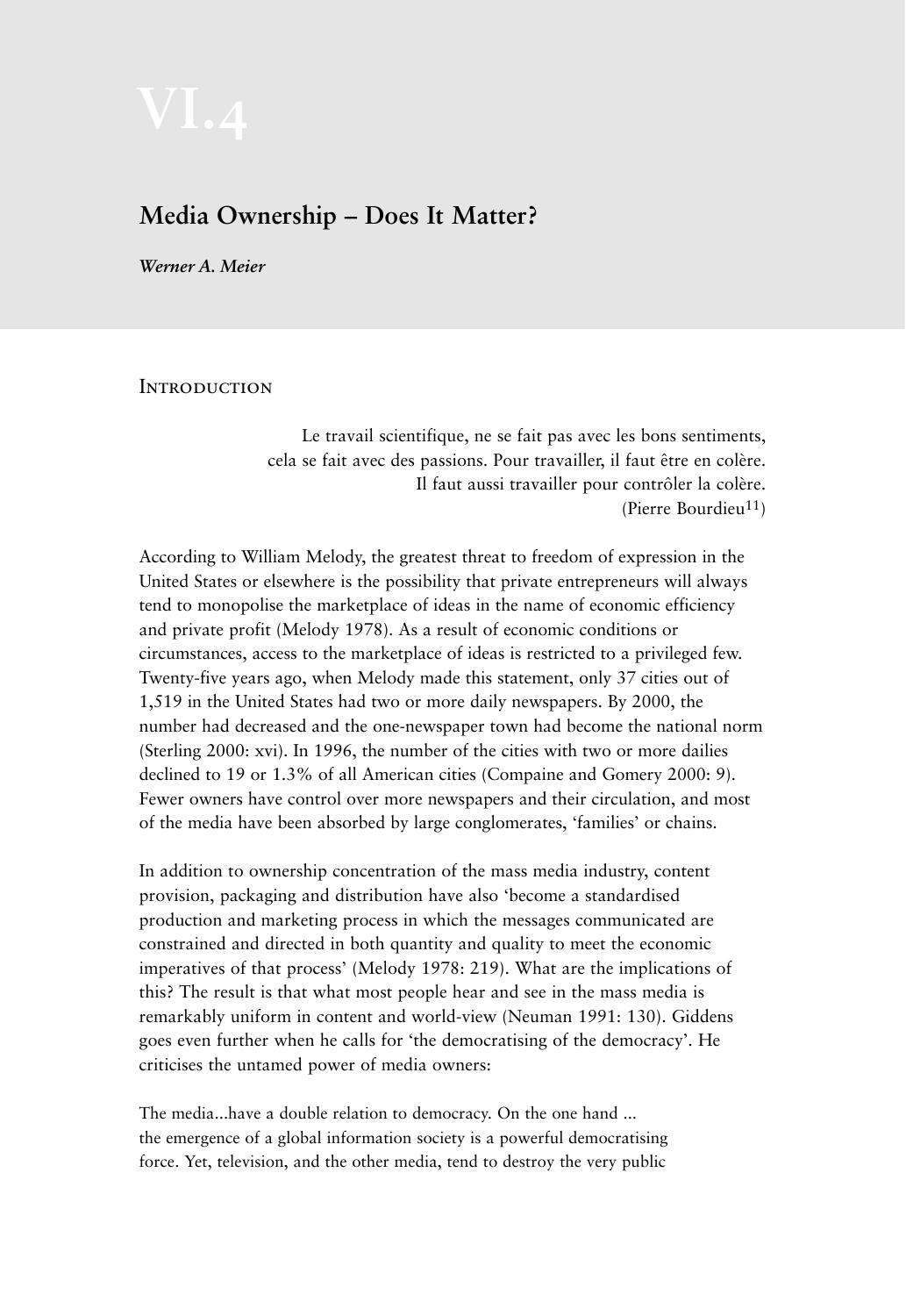## **Media Ownership – Does It Matter?**

*Werner A. Meier* 

**INTRODUCTION** 

Le travail scientifique, ne se fait pas avec les bons sentiments, cela se fait avec des passions. Pour travailler, il faut être en colère. Il faut aussi travailler pour contrôler la colère. (Pierre Bourdieu11)

According to William Melody, the greatest threat to freedom of expression in the United States or elsewhere is the possibility that private entrepreneurs will always tend to monopolise the marketplace of ideas in the name of economic efficiency and private profit (Melody 1978). As a result of economic conditions or circumstances, access to the marketplace of ideas is restricted to a privileged few. Twenty-five years ago, when Melody made this statement, only 37 cities out of 1,519 in the United States had two or more daily newspapers. By 2000, the number had decreased and the one-newspaper town had become the national norm (Sterling 2000: xvi). In 1996, the number of the cities with two or more dailies declined to 19 or 1.3% of all American cities (Compaine and Gomery 2000: 9). Fewer owners have control over more newspapers and their circulation, and most of the media have been absorbed by large conglomerates, 'families' or chains.

In addition to ownership concentration of the mass media industry, content provision, packaging and distribution have also 'become a standardised production and marketing process in which the messages communicated are constrained and directed in both quantity and quality to meet the economic imperatives of that process' (Melody 1978: 219). What are the implications of this? The result is that what most people hear and see in the mass media is remarkably uniform in content and world-view (Neuman 1991: 130). Giddens goes even further when he calls for 'the democratising of the democracy'. He criticises the untamed power of media owners:

The media...have a double relation to democracy. On the one hand ... the emergence of a global information society is a powerful democratising force. Yet, television, and the other media, tend to destroy the very public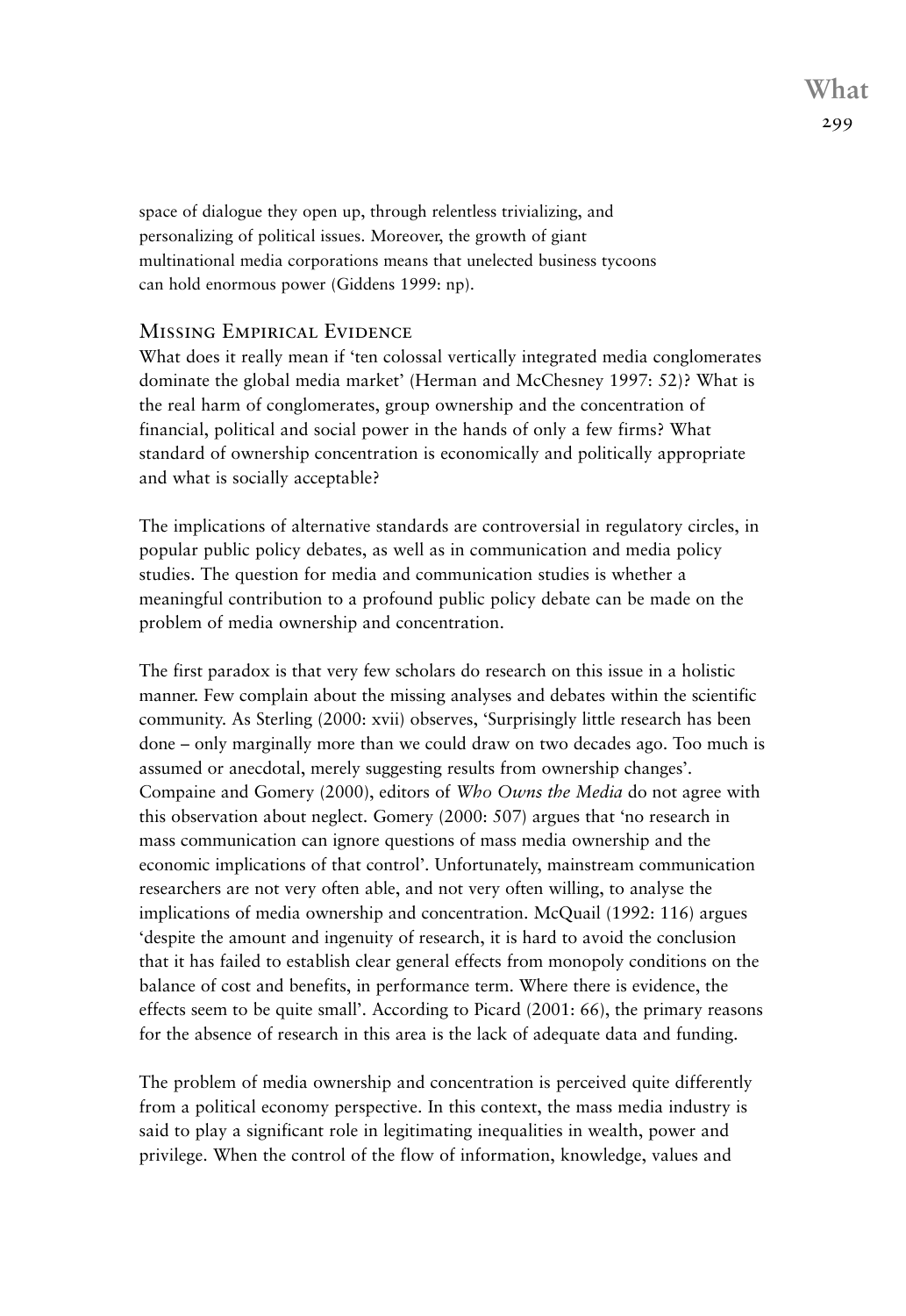**What** 299

space of dialogue they open up, through relentless trivializing, and personalizing of political issues. Moreover, the growth of giant multinational media corporations means that unelected business tycoons can hold enormous power (Giddens 1999: np).

## Missing Empirical Evidence

What does it really mean if 'ten colossal vertically integrated media conglomerates dominate the global media market' (Herman and McChesney 1997: 52)? What is the real harm of conglomerates, group ownership and the concentration of financial, political and social power in the hands of only a few firms? What standard of ownership concentration is economically and politically appropriate and what is socially acceptable?

The implications of alternative standards are controversial in regulatory circles, in popular public policy debates, as well as in communication and media policy studies. The question for media and communication studies is whether a meaningful contribution to a profound public policy debate can be made on the problem of media ownership and concentration.

The first paradox is that very few scholars do research on this issue in a holistic manner. Few complain about the missing analyses and debates within the scientific community. As Sterling (2000: xvii) observes, 'Surprisingly little research has been done – only marginally more than we could draw on two decades ago. Too much is assumed or anecdotal, merely suggesting results from ownership changes'. Compaine and Gomery (2000), editors of *Who Owns the Media* do not agree with this observation about neglect. Gomery (2000: 507) argues that 'no research in mass communication can ignore questions of mass media ownership and the economic implications of that control'. Unfortunately, mainstream communication researchers are not very often able, and not very often willing, to analyse the implications of media ownership and concentration. McQuail (1992: 116) argues 'despite the amount and ingenuity of research, it is hard to avoid the conclusion that it has failed to establish clear general effects from monopoly conditions on the balance of cost and benefits, in performance term. Where there is evidence, the effects seem to be quite small'. According to Picard (2001: 66), the primary reasons for the absence of research in this area is the lack of adequate data and funding.

The problem of media ownership and concentration is perceived quite differently from a political economy perspective. In this context, the mass media industry is said to play a significant role in legitimating inequalities in wealth, power and privilege. When the control of the flow of information, knowledge, values and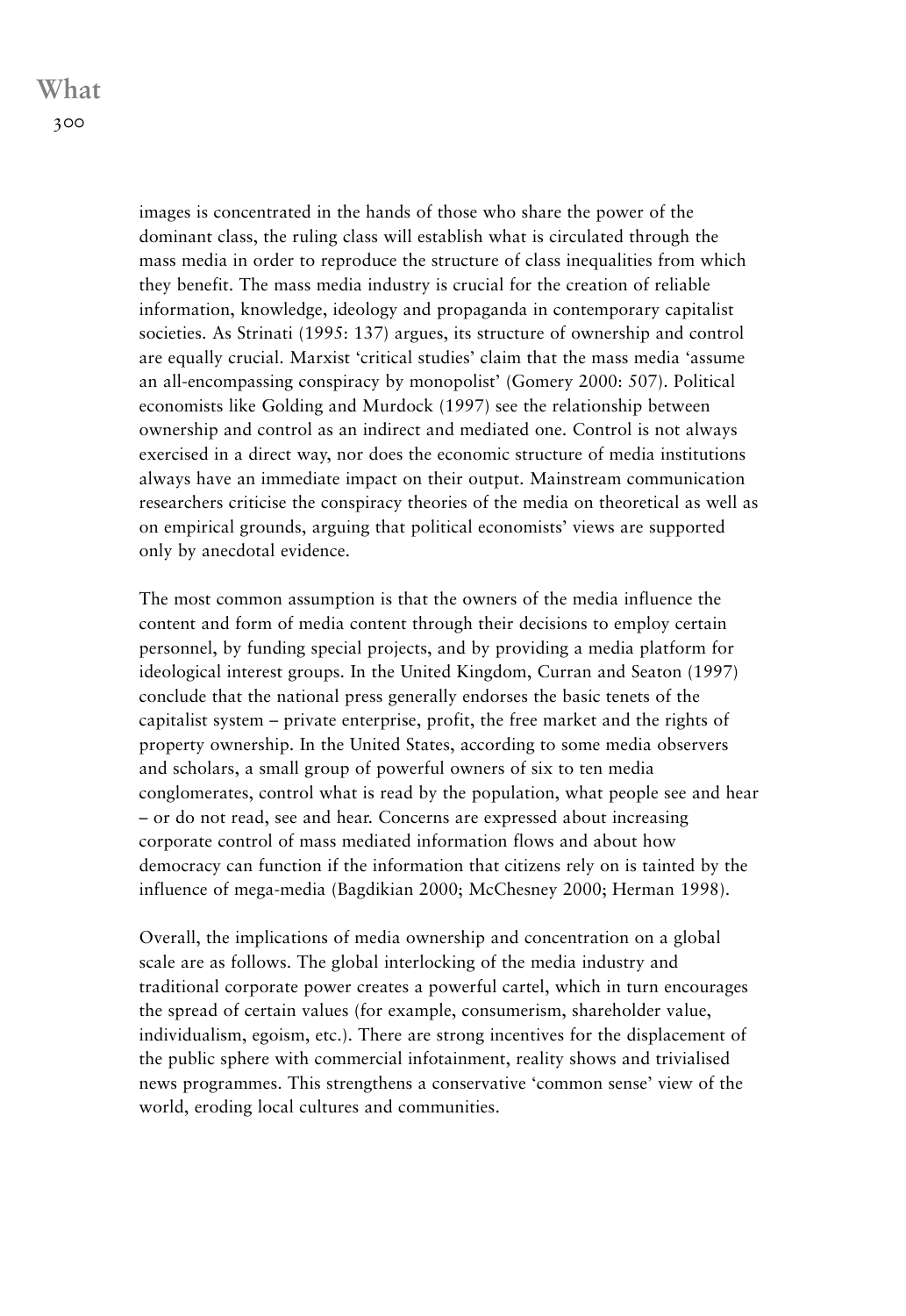images is concentrated in the hands of those who share the power of the dominant class, the ruling class will establish what is circulated through the mass media in order to reproduce the structure of class inequalities from which they benefit. The mass media industry is crucial for the creation of reliable information, knowledge, ideology and propaganda in contemporary capitalist societies. As Strinati (1995: 137) argues, its structure of ownership and control are equally crucial. Marxist 'critical studies' claim that the mass media 'assume an all-encompassing conspiracy by monopolist' (Gomery 2000: 507). Political economists like Golding and Murdock (1997) see the relationship between ownership and control as an indirect and mediated one. Control is not always exercised in a direct way, nor does the economic structure of media institutions always have an immediate impact on their output. Mainstream communication researchers criticise the conspiracy theories of the media on theoretical as well as on empirical grounds, arguing that political economists' views are supported only by anecdotal evidence.

The most common assumption is that the owners of the media influence the content and form of media content through their decisions to employ certain personnel, by funding special projects, and by providing a media platform for ideological interest groups. In the United Kingdom, Curran and Seaton (1997) conclude that the national press generally endorses the basic tenets of the capitalist system – private enterprise, profit, the free market and the rights of property ownership. In the United States, according to some media observers and scholars, a small group of powerful owners of six to ten media conglomerates, control what is read by the population, what people see and hear – or do not read, see and hear. Concerns are expressed about increasing corporate control of mass mediated information flows and about how democracy can function if the information that citizens rely on is tainted by the influence of mega-media (Bagdikian 2000; McChesney 2000; Herman 1998).

Overall, the implications of media ownership and concentration on a global scale are as follows. The global interlocking of the media industry and traditional corporate power creates a powerful cartel, which in turn encourages the spread of certain values (for example, consumerism, shareholder value, individualism, egoism, etc.). There are strong incentives for the displacement of the public sphere with commercial infotainment, reality shows and trivialised news programmes. This strengthens a conservative 'common sense' view of the world, eroding local cultures and communities.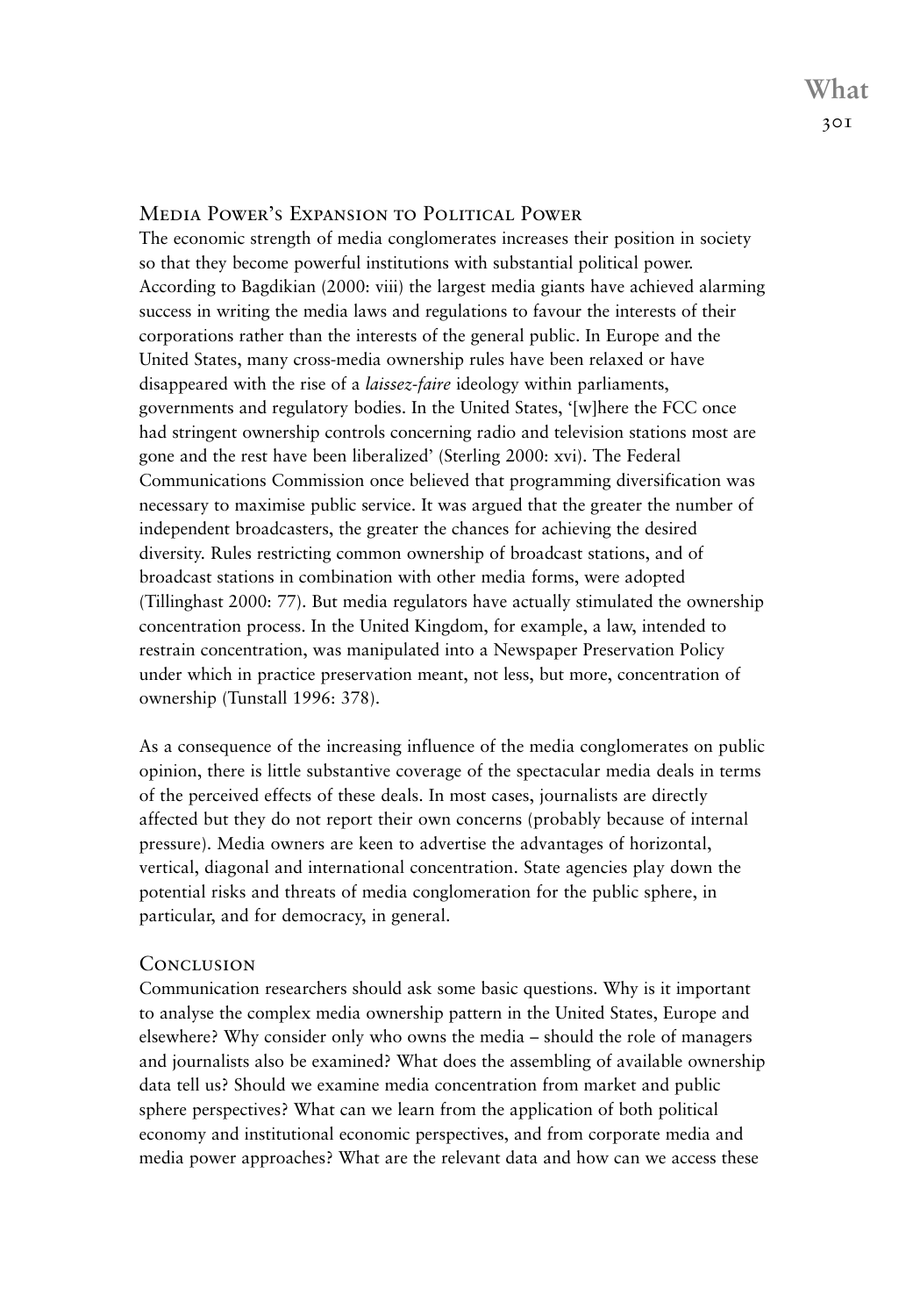## Media Power's Expansion to Political Power

The economic strength of media conglomerates increases their position in society so that they become powerful institutions with substantial political power. According to Bagdikian (2000: viii) the largest media giants have achieved alarming success in writing the media laws and regulations to favour the interests of their corporations rather than the interests of the general public. In Europe and the United States, many cross-media ownership rules have been relaxed or have disappeared with the rise of a *laissez-faire* ideology within parliaments, governments and regulatory bodies. In the United States, '[w]here the FCC once had stringent ownership controls concerning radio and television stations most are gone and the rest have been liberalized' (Sterling 2000: xvi). The Federal Communications Commission once believed that programming diversification was necessary to maximise public service. It was argued that the greater the number of independent broadcasters, the greater the chances for achieving the desired diversity. Rules restricting common ownership of broadcast stations, and of broadcast stations in combination with other media forms, were adopted (Tillinghast 2000: 77). But media regulators have actually stimulated the ownership concentration process. In the United Kingdom, for example, a law, intended to restrain concentration, was manipulated into a Newspaper Preservation Policy under which in practice preservation meant, not less, but more, concentration of ownership (Tunstall 1996: 378).

As a consequence of the increasing influence of the media conglomerates on public opinion, there is little substantive coverage of the spectacular media deals in terms of the perceived effects of these deals. In most cases, journalists are directly affected but they do not report their own concerns (probably because of internal pressure). Media owners are keen to advertise the advantages of horizontal, vertical, diagonal and international concentration. State agencies play down the potential risks and threats of media conglomeration for the public sphere, in particular, and for democracy, in general.

## **CONCLUSION**

Communication researchers should ask some basic questions. Why is it important to analyse the complex media ownership pattern in the United States, Europe and elsewhere? Why consider only who owns the media – should the role of managers and journalists also be examined? What does the assembling of available ownership data tell us? Should we examine media concentration from market and public sphere perspectives? What can we learn from the application of both political economy and institutional economic perspectives, and from corporate media and media power approaches? What are the relevant data and how can we access these